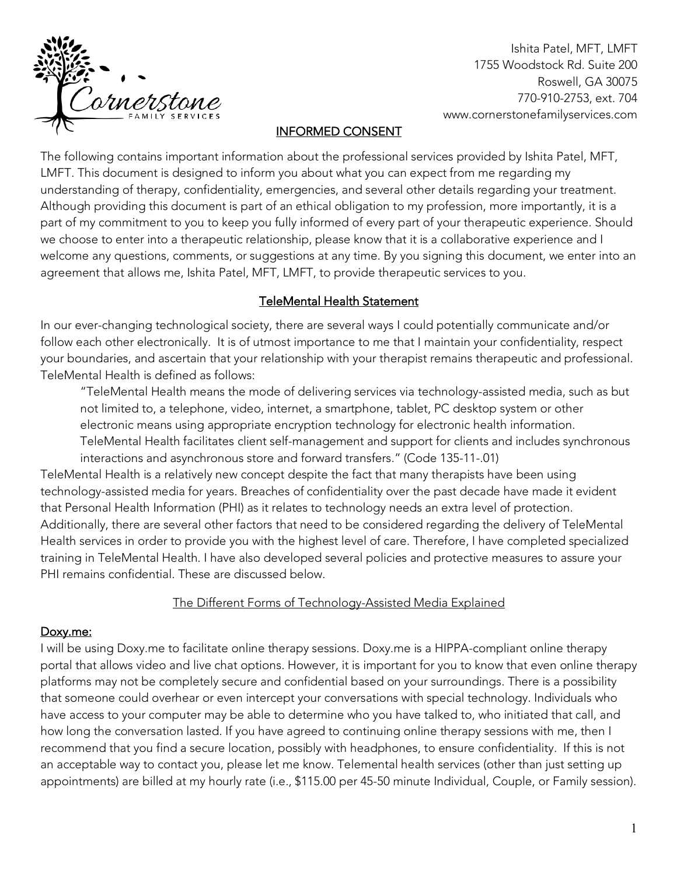

Ishita Patel, MFT, LMFT 1755 Woodstock Rd. Suite 200 Roswell, GA 30075 770-910-2753, ext. 704 www.cornerstonefamilyservices.com

### INFORMED CONSENT

The following contains important information about the professional services provided by Ishita Patel, MFT, LMFT. This document is designed to inform you about what you can expect from me regarding my understanding of therapy, confidentiality, emergencies, and several other details regarding your treatment. Although providing this document is part of an ethical obligation to my profession, more importantly, it is a part of my commitment to you to keep you fully informed of every part of your therapeutic experience. Should we choose to enter into a therapeutic relationship, please know that it is a collaborative experience and I welcome any questions, comments, or suggestions at any time. By you signing this document, we enter into an agreement that allows me, Ishita Patel, MFT, LMFT, to provide therapeutic services to you.

### TeleMental Health Statement

In our ever-changing technological society, there are several ways I could potentially communicate and/or follow each other electronically. It is of utmost importance to me that I maintain your confidentiality, respect your boundaries, and ascertain that your relationship with your therapist remains therapeutic and professional. TeleMental Health is defined as follows:

"TeleMental Health means the mode of delivering services via technology-assisted media, such as but not limited to, a telephone, video, internet, a smartphone, tablet, PC desktop system or other electronic means using appropriate encryption technology for electronic health information. TeleMental Health facilitates client self-management and support for clients and includes synchronous interactions and asynchronous store and forward transfers." (Code 135-11-.01)

TeleMental Health is a relatively new concept despite the fact that many therapists have been using technology-assisted media for years. Breaches of confidentiality over the past decade have made it evident that Personal Health Information (PHI) as it relates to technology needs an extra level of protection. Additionally, there are several other factors that need to be considered regarding the delivery of TeleMental Health services in order to provide you with the highest level of care. Therefore, I have completed specialized training in TeleMental Health. I have also developed several policies and protective measures to assure your PHI remains confidential. These are discussed below.

#### The Different Forms of Technology-Assisted Media Explained

### Doxy.me:

I will be using Doxy.me to facilitate online therapy sessions. Doxy.me is a HIPPA-compliant online therapy portal that allows video and live chat options. However, it is important for you to know that even online therapy platforms may not be completely secure and confidential based on your surroundings. There is a possibility that someone could overhear or even intercept your conversations with special technology. Individuals who have access to your computer may be able to determine who you have talked to, who initiated that call, and how long the conversation lasted. If you have agreed to continuing online therapy sessions with me, then I recommend that you find a secure location, possibly with headphones, to ensure confidentiality. If this is not an acceptable way to contact you, please let me know. Telemental health services (other than just setting up appointments) are billed at my hourly rate (i.e., \$115.00 per 45-50 minute Individual, Couple, or Family session).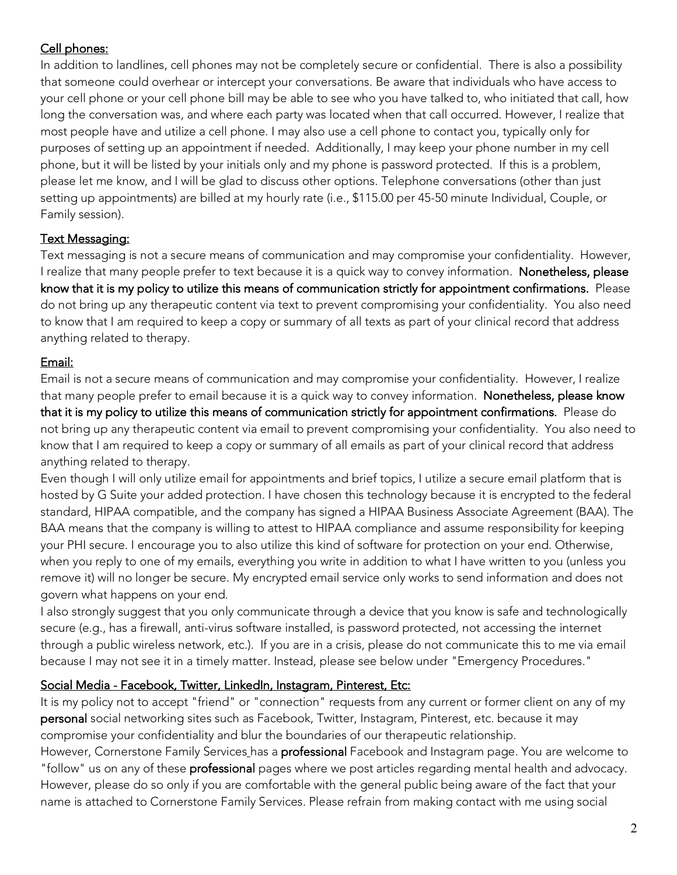# Cell phones:

In addition to landlines, cell phones may not be completely secure or confidential. There is also a possibility that someone could overhear or intercept your conversations. Be aware that individuals who have access to your cell phone or your cell phone bill may be able to see who you have talked to, who initiated that call, how long the conversation was, and where each party was located when that call occurred. However, I realize that most people have and utilize a cell phone. I may also use a cell phone to contact you, typically only for purposes of setting up an appointment if needed. Additionally, I may keep your phone number in my cell phone, but it will be listed by your initials only and my phone is password protected. If this is a problem, please let me know, and I will be glad to discuss other options. Telephone conversations (other than just setting up appointments) are billed at my hourly rate (i.e., \$115.00 per 45-50 minute Individual, Couple, or Family session).

# Text Messaging:

Text messaging is not a secure means of communication and may compromise your confidentiality. However, I realize that many people prefer to text because it is a quick way to convey information. Nonetheless, please know that it is my policy to utilize this means of communication strictly for appointment confirmations. Please do not bring up any therapeutic content via text to prevent compromising your confidentiality. You also need to know that I am required to keep a copy or summary of all texts as part of your clinical record that address anything related to therapy.

# Email:

Email is not a secure means of communication and may compromise your confidentiality. However, I realize that many people prefer to email because it is a quick way to convey information. Nonetheless, please know that it is my policy to utilize this means of communication strictly for appointment confirmations. Please do not bring up any therapeutic content via email to prevent compromising your confidentiality. You also need to know that I am required to keep a copy or summary of all emails as part of your clinical record that address anything related to therapy.

Even though I will only utilize email for appointments and brief topics, I utilize a secure email platform that is hosted by G Suite your added protection. I have chosen this technology because it is encrypted to the federal standard, HIPAA compatible, and the company has signed a HIPAA Business Associate Agreement (BAA). The BAA means that the company is willing to attest to HIPAA compliance and assume responsibility for keeping your PHI secure. I encourage you to also utilize this kind of software for protection on your end. Otherwise, when you reply to one of my emails, everything you write in addition to what I have written to you (unless you remove it) will no longer be secure. My encrypted email service only works to send information and does not govern what happens on your end.

I also strongly suggest that you only communicate through a device that you know is safe and technologically secure (e.g., has a firewall, anti-virus software installed, is password protected, not accessing the internet through a public wireless network, etc.). If you are in a crisis, please do not communicate this to me via email because I may not see it in a timely matter. Instead, please see below under "Emergency Procedures."

### Social Media - Facebook, Twitter, LinkedIn, Instagram, Pinterest, Etc:

It is my policy not to accept "friend" or "connection" requests from any current or former client on any of my personal social networking sites such as Facebook, Twitter, Instagram, Pinterest, etc. because it may compromise your confidentiality and blur the boundaries of our therapeutic relationship.

However, Cornerstone Family Services has a professional Facebook and Instagram page. You are welcome to "follow" us on any of these **professional** pages where we post articles regarding mental health and advocacy. However, please do so only if you are comfortable with the general public being aware of the fact that your name is attached to Cornerstone Family Services. Please refrain from making contact with me using social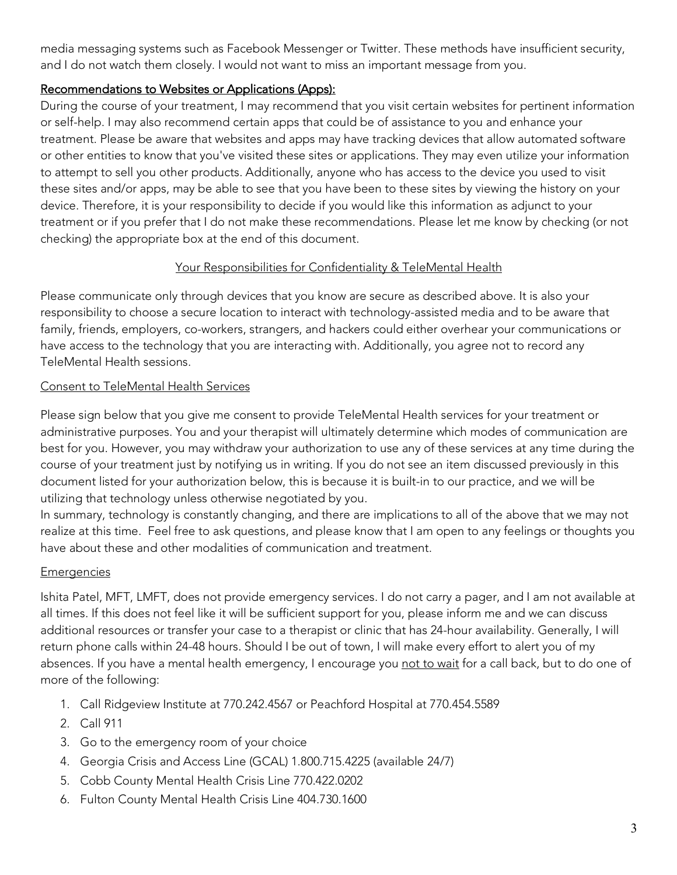media messaging systems such as Facebook Messenger or Twitter. These methods have insufficient security, and I do not watch them closely. I would not want to miss an important message from you.

### Recommendations to Websites or Applications (Apps):

During the course of your treatment, I may recommend that you visit certain websites for pertinent information or self-help. I may also recommend certain apps that could be of assistance to you and enhance your treatment. Please be aware that websites and apps may have tracking devices that allow automated software or other entities to know that you've visited these sites or applications. They may even utilize your information to attempt to sell you other products. Additionally, anyone who has access to the device you used to visit these sites and/or apps, may be able to see that you have been to these sites by viewing the history on your device. Therefore, it is your responsibility to decide if you would like this information as adjunct to your treatment or if you prefer that I do not make these recommendations. Please let me know by checking (or not checking) the appropriate box at the end of this document.

### Your Responsibilities for Confidentiality & TeleMental Health

Please communicate only through devices that you know are secure as described above. It is also your responsibility to choose a secure location to interact with technology-assisted media and to be aware that family, friends, employers, co-workers, strangers, and hackers could either overhear your communications or have access to the technology that you are interacting with. Additionally, you agree not to record any TeleMental Health sessions.

#### Consent to TeleMental Health Services

Please sign below that you give me consent to provide TeleMental Health services for your treatment or administrative purposes. You and your therapist will ultimately determine which modes of communication are best for you. However, you may withdraw your authorization to use any of these services at any time during the course of your treatment just by notifying us in writing. If you do not see an item discussed previously in this document listed for your authorization below, this is because it is built-in to our practice, and we will be utilizing that technology unless otherwise negotiated by you.

In summary, technology is constantly changing, and there are implications to all of the above that we may not realize at this time. Feel free to ask questions, and please know that I am open to any feelings or thoughts you have about these and other modalities of communication and treatment.

#### **Emergencies**

Ishita Patel, MFT, LMFT, does not provide emergency services. I do not carry a pager, and I am not available at all times. If this does not feel like it will be sufficient support for you, please inform me and we can discuss additional resources or transfer your case to a therapist or clinic that has 24-hour availability. Generally, I will return phone calls within 24-48 hours. Should I be out of town, I will make every effort to alert you of my absences. If you have a mental health emergency, I encourage you not to wait for a call back, but to do one of more of the following:

- 1. Call Ridgeview Institute at 770.242.4567 or Peachford Hospital at 770.454.5589
- 2. Call 911
- 3. Go to the emergency room of your choice
- 4. Georgia Crisis and Access Line (GCAL) 1.800.715.4225 (available 24/7)
- 5. Cobb County Mental Health Crisis Line 770.422.0202
- 6. Fulton County Mental Health Crisis Line 404.730.1600